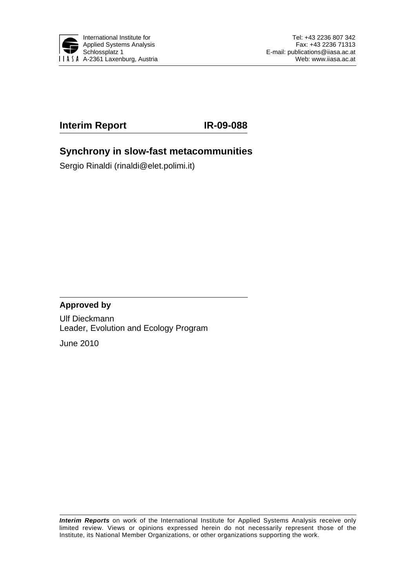

## **Interim Report IR-09-088**

## **Synchrony in slow-fast metacommunities**

Sergio Rinaldi (rinaldi@elet.polimi.it)

### **Approved by**

Ulf Dieckmann Leader, Evolution and Ecology Program

June 2010

*Interim Reports* on work of the International Institute for Applied Systems Analysis receive only limited review. Views or opinions expressed herein do not necessarily represent those of the Institute, its National Member Organizations, or other organizations supporting the work.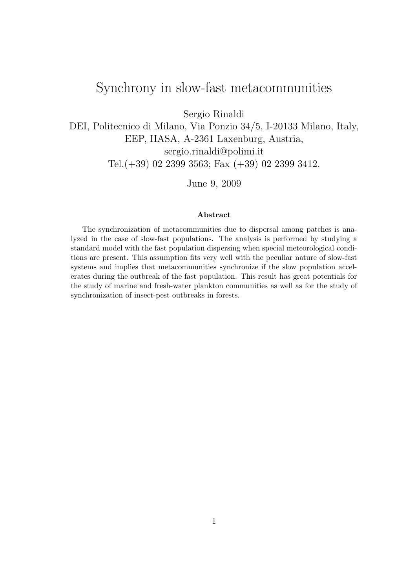## Synchrony in slow-fast metacommunities

Sergio Rinaldi

DEI, Politecnico di Milano, Via Ponzio 34/5, I-20133 Milano, Italy, EEP, IIASA, A-2361 Laxenburg, Austria, sergio.rinaldi@polimi.it Tel.(+39) 02 2399 3563; Fax (+39) 02 2399 3412.

June 9, 2009

#### Abstract

The synchronization of metacommunities due to dispersal among patches is analyzed in the case of slow-fast populations. The analysis is performed by studying a standard model with the fast population dispersing when special meteorological conditions are present. This assumption fits very well with the peculiar nature of slow-fast systems and implies that metacommunities synchronize if the slow population accelerates during the outbreak of the fast population. This result has great potentials for the study of marine and fresh-water plankton communities as well as for the study of synchronization of insect-pest outbreaks in forests.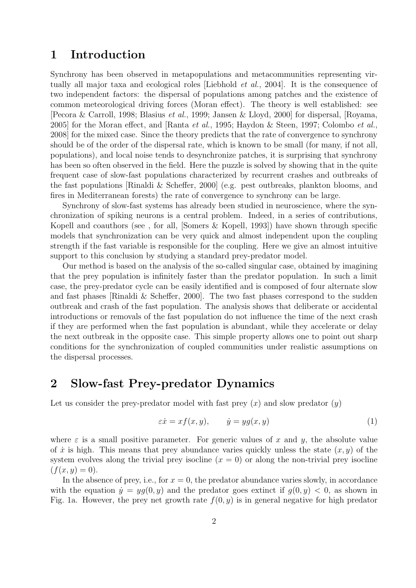## 1 Introduction

Synchrony has been observed in metapopulations and metacommunities representing virtually all major taxa and ecological roles [Liebhold et al., 2004]. It is the consequence of two independent factors: the dispersal of populations among patches and the existence of common meteorological driving forces (Moran effect). The theory is well established: see [Pecora & Carroll, 1998; Blasius et al., 1999; Jansen & Lloyd, 2000] for dispersal, [Royama, 2005] for the Moran effect, and [Ranta *et al.*, 1995; Haydon & Steen, 1997; Colombo *et al.*, 2008] for the mixed case. Since the theory predicts that the rate of convergence to synchrony should be of the order of the dispersal rate, which is known to be small (for many, if not all, populations), and local noise tends to desynchronize patches, it is surprising that synchrony has been so often observed in the field. Here the puzzle is solved by showing that in the quite frequent case of slow-fast populations characterized by recurrent crashes and outbreaks of the fast populations [Rinaldi & Scheffer, 2000] (e.g. pest outbreaks, plankton blooms, and fires in Mediterranean forests) the rate of convergence to synchrony can be large.

Synchrony of slow-fast systems has already been studied in neuroscience, where the synchronization of spiking neurons is a central problem. Indeed, in a series of contributions, Kopell and coauthors (see , for all, [Somers & Kopell, 1993]) have shown through specific models that synchronization can be very quick and almost independent upon the coupling strength if the fast variable is responsible for the coupling. Here we give an almost intuitive support to this conclusion by studying a standard prey-predator model.

Our method is based on the analysis of the so-called singular case, obtained by imagining that the prey population is infinitely faster than the predator population. In such a limit case, the prey-predator cycle can be easily identified and is composed of four alternate slow and fast phases [Rinaldi & Scheffer, 2000]. The two fast phases correspond to the sudden outbreak and crash of the fast population. The analysis shows that deliberate or accidental introductions or removals of the fast population do not influence the time of the next crash if they are performed when the fast population is abundant, while they accelerate or delay the next outbreak in the opposite case. This simple property allows one to point out sharp conditions for the synchronization of coupled communities under realistic assumptions on the dispersal processes.

## 2 Slow-fast Prey-predator Dynamics

Let us consider the prey-predator model with fast prey  $(x)$  and slow predator  $(y)$ 

$$
\varepsilon \dot{x} = x f(x, y), \qquad \dot{y} = y g(x, y) \tag{1}
$$

where  $\varepsilon$  is a small positive parameter. For generic values of x and y, the absolute value of  $\dot{x}$  is high. This means that prey abundance varies quickly unless the state  $(x, y)$  of the system evolves along the trivial prey isocline  $(x = 0)$  or along the non-trivial prey isocline  $(f(x, y) = 0).$ 

In the absence of prey, i.e., for  $x = 0$ , the predator abundance varies slowly, in accordance with the equation  $\dot{y} = yg(0, y)$  and the predator goes extinct if  $g(0, y) < 0$ , as shown in Fig. 1a. However, the prey net growth rate  $f(0, y)$  is in general negative for high predator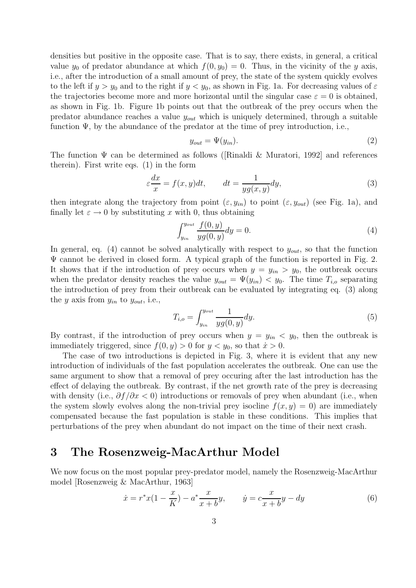densities but positive in the opposite case. That is to say, there exists, in general, a critical value  $y_0$  of predator abundance at which  $f(0, y_0) = 0$ . Thus, in the vicinity of the y axis, i.e., after the introduction of a small amount of prey, the state of the system quickly evolves to the left if  $y > y_0$  and to the right if  $y < y_0$ , as shown in Fig. 1a. For decreasing values of  $\varepsilon$ the trajectories become more and more horizontal until the singular case  $\varepsilon = 0$  is obtained, as shown in Fig. 1b. Figure 1b points out that the outbreak of the prey occurs when the predator abundance reaches a value  $y_{out}$  which is uniquely determined, through a suitable function  $\Psi$ , by the abundance of the predator at the time of prey introduction, i.e.,

$$
y_{out} = \Psi(y_{in}).\tag{2}
$$

The function  $\Psi$  can be determined as follows ([Rinaldi & Muratori, 1992] and references therein). First write eqs. (1) in the form

$$
\varepsilon \frac{dx}{x} = f(x, y)dt, \qquad dt = \frac{1}{yg(x, y)}dy,\tag{3}
$$

then integrate along the trajectory from point  $(\varepsilon, y_{in})$  to point  $(\varepsilon, y_{out})$  (see Fig. 1a), and finally let  $\varepsilon \to 0$  by substituting x with 0, thus obtaining

$$
\int_{y_{in}}^{y_{out}} \frac{f(0, y)}{yg(0, y)} dy = 0.
$$
\n(4)

In general, eq. (4) cannot be solved analytically with respect to  $y_{out}$ , so that the function  $\Psi$  cannot be derived in closed form. A typical graph of the function is reported in Fig. 2. It shows that if the introduction of prey occurs when  $y = y_{in} > y_0$ , the outbreak occurs when the predator density reaches the value  $y_{out} = \Psi(y_{in}) < y_0$ . The time  $T_{i,o}$  separating the introduction of prey from their outbreak can be evaluated by integrating eq. (3) along the y axis from  $y_{in}$  to  $y_{out}$ , i.e.,

$$
T_{i,o} = \int_{y_{in}}^{y_{out}} \frac{1}{yg(0,y)} dy.
$$
\n(5)

By contrast, if the introduction of prey occurs when  $y = y_{in} < y_0$ , then the outbreak is immediately triggered, since  $f(0, y) > 0$  for  $y < y_0$ , so that  $\dot{x} > 0$ .

The case of two introductions is depicted in Fig. 3, where it is evident that any new introduction of individuals of the fast population accelerates the outbreak. One can use the same argument to show that a removal of prey occuring after the last introduction has the effect of delaying the outbreak. By contrast, if the net growth rate of the prey is decreasing with density (i.e.,  $\partial f/\partial x < 0$ ) introductions or removals of prey when abundant (i.e., when the system slowly evolves along the non-trivial prey isocline  $f(x, y) = 0$  are immediately compensated because the fast population is stable in these conditions. This implies that perturbations of the prey when abundant do not impact on the time of their next crash.

## 3 The Rosenzweig-MacArthur Model

We now focus on the most popular prey-predator model, namely the Rosenzweig-MacArthur model [Rosenzweig & MacArthur, 1963]

$$
\dot{x} = r^*x(1 - \frac{x}{K}) - a^* \frac{x}{x + b}y, \qquad \dot{y} = c \frac{x}{x + b}y - dy \tag{6}
$$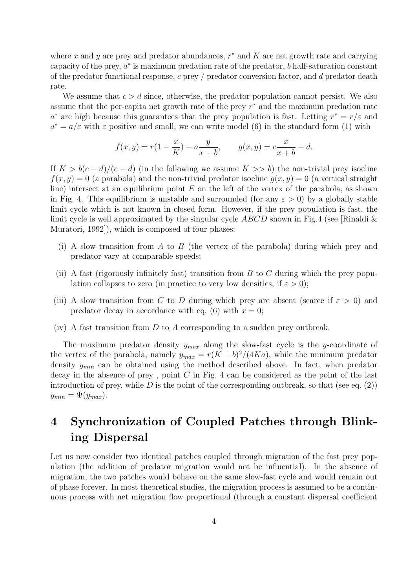where x and y are prey and predator abundances,  $r^*$  and K are net growth rate and carrying capacity of the prey,  $a^*$  is maximum predation rate of the predator, b half-saturation constant of the predator functional response,  $c$  prey / predator conversion factor, and d predator death rate.

We assume that  $c > d$  since, otherwise, the predator population cannot persist. We also assume that the per-capita net growth rate of the prey  $r^*$  and the maximum predation rate a<sup>\*</sup> are high because this guarantees that the prey population is fast. Letting  $r^* = r/\varepsilon$  and  $a^* = a/\varepsilon$  with  $\varepsilon$  positive and small, we can write model (6) in the standard form (1) with

$$
f(x, y) = r(1 - \frac{x}{K}) - a\frac{y}{x + b}, \qquad g(x, y) = c\frac{x}{x + b} - d.
$$

If  $K > b(c+d)/(c-d)$  (in the following we assume  $K >> b$ ) the non-trivial prey isocline  $f(x, y) = 0$  (a parabola) and the non-trivial predator isocline  $g(x, y) = 0$  (a vertical straight line) intersect at an equilibrium point  $E$  on the left of the vertex of the parabola, as shown in Fig. 4. This equilibrium is unstable and surrounded (for any  $\varepsilon > 0$ ) by a globally stable limit cycle which is not known in closed form. However, if the prey population is fast, the limit cycle is well approximated by the singular cycle  $ABCD$  shown in Fig.4 (see [Rinaldi & Muratori, 1992]), which is composed of four phases:

- (i) A slow transition from A to B (the vertex of the parabola) during which prey and predator vary at comparable speeds;
- (ii) A fast (rigorously infinitely fast) transition from  $B$  to  $C$  during which the prey population collapses to zero (in practice to very low densities, if  $\varepsilon > 0$ );
- (iii) A slow transition from C to D during which prey are absent (scarce if  $\varepsilon > 0$ ) and predator decay in accordance with eq. (6) with  $x = 0$ ;
- (iv) A fast transition from  $D$  to  $A$  corresponding to a sudden prey outbreak.

The maximum predator density  $y_{max}$  along the slow-fast cycle is the y-coordinate of the vertex of the parabola, namely  $y_{max} = r(K+b)^2/(4Ka)$ , while the minimum predator density  $y_{min}$  can be obtained using the method described above. In fact, when predator decay in the absence of prey, point  $C$  in Fig. 4 can be considered as the point of the last introduction of prey, while  $D$  is the point of the corresponding outbreak, so that (see eq. (2))  $y_{min} = \Psi(y_{max}).$ 

# 4 Synchronization of Coupled Patches through Blinking Dispersal

Let us now consider two identical patches coupled through migration of the fast prey population (the addition of predator migration would not be influential). In the absence of migration, the two patches would behave on the same slow-fast cycle and would remain out of phase forever. In most theoretical studies, the migration process is assumed to be a continuous process with net migration flow proportional (through a constant dispersal coefficient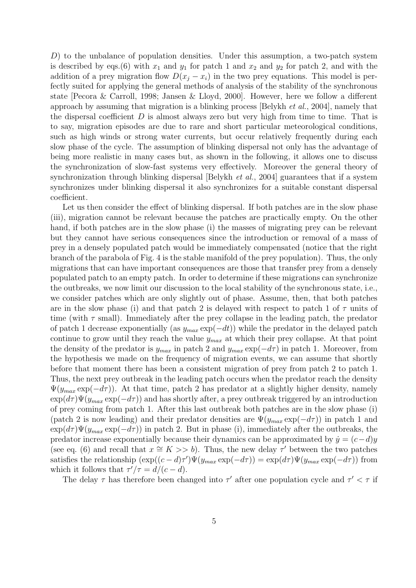D) to the unbalance of population densities. Under this assumption, a two-patch system is described by eqs.(6) with  $x_1$  and  $y_1$  for patch 1 and  $x_2$  and  $y_2$  for patch 2, and with the addition of a prey migration flow  $D(x_i - x_i)$  in the two prey equations. This model is perfectly suited for applying the general methods of analysis of the stability of the synchronous state [Pecora & Carroll, 1998; Jansen & Lloyd, 2000]. However, here we follow a different approach by assuming that migration is a blinking process [Belykh et al., 2004], namely that the dispersal coefficient  $D$  is almost always zero but very high from time to time. That is to say, migration episodes are due to rare and short particular meteorological conditions, such as high winds or strong water currents, but occur relatively frequently during each slow phase of the cycle. The assumption of blinking dispersal not only has the advantage of being more realistic in many cases but, as shown in the following, it allows one to discuss the synchronization of slow-fast systems very effectively. Moreover the general theory of synchronization through blinking dispersal [Belykh *et al.*, 2004] guarantees that if a system synchronizes under blinking dispersal it also synchronizes for a suitable constant dispersal coefficient.

Let us then consider the effect of blinking dispersal. If both patches are in the slow phase (iii), migration cannot be relevant because the patches are practically empty. On the other hand, if both patches are in the slow phase (i) the masses of migrating prey can be relevant but they cannot have serious consequences since the introduction or removal of a mass of prey in a densely populated patch would be immediately compensated (notice that the right branch of the parabola of Fig. 4 is the stable manifold of the prey population). Thus, the only migrations that can have important consequences are those that transfer prey from a densely populated patch to an empty patch. In order to determine if these migrations can synchronize the outbreaks, we now limit our discussion to the local stability of the synchronous state, i.e., we consider patches which are only slightly out of phase. Assume, then, that both patches are in the slow phase (i) and that patch 2 is delayed with respect to patch 1 of  $\tau$  units of time (with  $\tau$  small). Immediately after the prey collapse in the leading patch, the predator of patch 1 decrease exponentially (as  $y_{max} \exp(-dt)$ ) while the predator in the delayed patch continue to grow until they reach the value  $y_{max}$  at which their prey collapse. At that point the density of the predator is  $y_{max}$  in patch 2 and  $y_{max} \exp(-d\tau)$  in patch 1. Moreover, from the hypothesis we made on the frequency of migration events, we can assume that shortly before that moment there has been a consistent migration of prey from patch 2 to patch 1. Thus, the next prey outbreak in the leading patch occurs when the predator reach the density  $\Psi(y_{max} \exp(-d\tau))$ . At that time, patch 2 has predator at a slightly higher density, namely  $\exp(d\tau)\Psi(y_{max}\exp(-d\tau))$  and has shortly after, a prey outbreak triggered by an introduction of prey coming from patch 1. After this last outbreak both patches are in the slow phase (i) (patch 2 is now leading) and their predator densities are  $\Psi(y_{max} \exp(-d\tau))$  in patch 1 and  $\exp(d\tau)\Psi(y_{max}\exp(-d\tau))$  in patch 2. But in phase (i), immediately after the outbreaks, the predator increase exponentially because their dynamics can be approximated by  $\dot{y} = (c-d)y$ (see eq. (6) and recall that  $x \cong K >> b$ ). Thus, the new delay  $\tau'$  between the two patches satisfies the relationship  $(\exp((c-d)\tau')\Psi(y_{max}\exp(-d\tau)) = \exp(d\tau)\Psi(y_{max}\exp(-d\tau))$  from which it follows that  $\tau'/\tau = d/(c-d)$ .

The delay  $\tau$  has therefore been changed into  $\tau'$  after one population cycle and  $\tau' < \tau$  if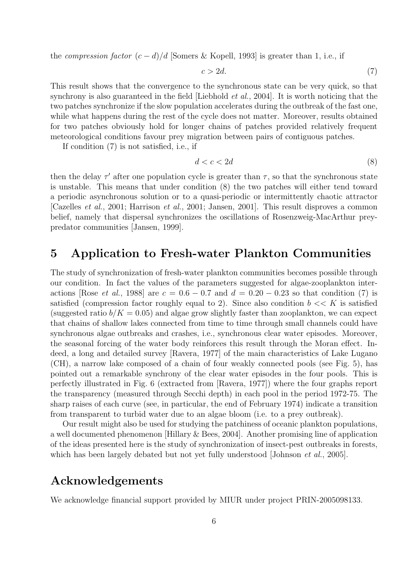the compression factor  $(c - d)/d$  [Somers & Kopell, 1993] is greater than 1, i.e., if

$$
c > 2d.\t\t(7)
$$

This result shows that the convergence to the synchronous state can be very quick, so that synchrony is also guaranteed in the field [Liebhold *et al.*, 2004]. It is worth noticing that the two patches synchronize if the slow population accelerates during the outbreak of the fast one, while what happens during the rest of the cycle does not matter. Moreover, results obtained for two patches obviously hold for longer chains of patches provided relatively frequent meteorological conditions favour prey migration between pairs of contiguous patches.

If condition (7) is not satisfied, i.e., if

$$
d < c < 2d \tag{8}
$$

then the delay  $\tau'$  after one population cycle is greater than  $\tau$ , so that the synchronous state is unstable. This means that under condition (8) the two patches will either tend toward a periodic asynchronous solution or to a quasi-periodic or intermittently chaotic attractor [Cazelles et al., 2001; Harrison et al., 2001; Jansen, 2001]. This result disproves a common belief, namely that dispersal synchronizes the oscillations of Rosenzweig-MacArthur preypredator communities [Jansen, 1999].

### 5 Application to Fresh-water Plankton Communities

The study of synchronization of fresh-water plankton communities becomes possible through our condition. In fact the values of the parameters suggested for algae-zooplankton interactions [Rose *et al.*, 1988] are  $c = 0.6 - 0.7$  and  $d = 0.20 - 0.23$  so that condition (7) is satisfied (compression factor roughly equal to 2). Since also condition  $b \ll K$  is satisfied (suggested ratio  $b/K = 0.05$ ) and algae grow slightly faster than zooplankton, we can expect that chains of shallow lakes connected from time to time through small channels could have synchronous algae outbreaks and crashes, i.e., synchronous clear water episodes. Moreover, the seasonal forcing of the water body reinforces this result through the Moran effect. Indeed, a long and detailed survey [Ravera, 1977] of the main characteristics of Lake Lugano (CH), a narrow lake composed of a chain of four weakly connected pools (see Fig. 5), has pointed out a remarkable synchrony of the clear water episodes in the four pools. This is perfectly illustrated in Fig. 6 (extracted from [Ravera, 1977]) where the four graphs report the transparency (measured through Secchi depth) in each pool in the period 1972-75. The sharp raises of each curve (see, in particular, the end of February 1974) indicate a transition from transparent to turbid water due to an algae bloom (i.e. to a prey outbreak).

Our result might also be used for studying the patchiness of oceanic plankton populations, a well documented phenomenon [Hillary & Bees, 2004]. Another promising line of application of the ideas presented here is the study of synchronization of insect-pest outbreaks in forests, which has been largely debated but not yet fully understood [Johnson *et al.*, 2005].

## Acknowledgements

We acknowledge financial support provided by MIUR under project PRIN-2005098133.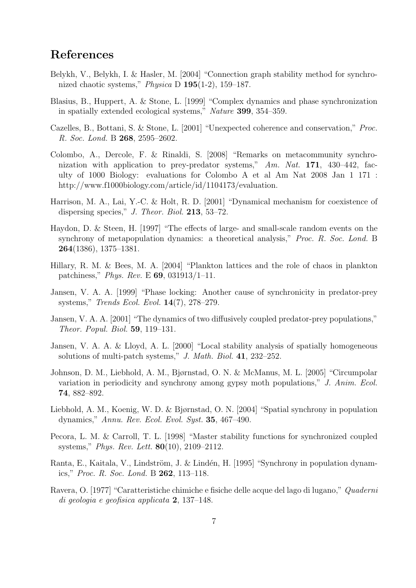## References

- Belykh, V., Belykh, I. & Hasler, M. [2004] "Connection graph stability method for synchronized chaotic systems," Physica D 195(1-2), 159–187.
- Blasius, B., Huppert, A. & Stone, L. [1999] "Complex dynamics and phase synchronization in spatially extended ecological systems," Nature 399, 354–359.
- Cazelles, B., Bottani, S. & Stone, L. [2001] "Unexpected coherence and conservation," Proc. R. Soc. Lond. B 268, 2595–2602.
- Colombo, A., Dercole, F. & Rinaldi, S. [2008] "Remarks on metacommunity synchronization with application to prey-predator systems," Am. Nat. 171, 430–442, faculty of 1000 Biology: evaluations for Colombo A et al Am Nat 2008 Jan 1 171 : http://www.f1000biology.com/article/id/1104173/evaluation.
- Harrison, M. A., Lai, Y.-C. & Holt, R. D. [2001] "Dynamical mechanism for coexistence of dispersing species," J. Theor. Biol. 213, 53-72.
- Haydon, D. & Steen, H. [1997] "The effects of large- and small-scale random events on the synchrony of metapopulation dynamics: a theoretical analysis," Proc. R. Soc. Lond. B 264(1386), 1375–1381.
- Hillary, R. M. & Bees, M. A. [2004] "Plankton lattices and the role of chaos in plankton patchiness," Phys. Rev. E 69, 031913/1–11.
- Jansen, V. A. A. [1999] "Phase locking: Another cause of synchronicity in predator-prey systems," Trends Ecol. Evol. 14(7), 278–279.
- Jansen, V. A. A. [2001] "The dynamics of two diffusively coupled predator-prey populations," Theor. Popul. Biol. 59, 119–131.
- Jansen, V. A. A. & Lloyd, A. L. [2000] "Local stability analysis of spatially homogeneous solutions of multi-patch systems," J. Math. Biol. 41, 232–252.
- Johnson, D. M., Liebhold, A. M., Bjørnstad, O. N. & McManus, M. L. [2005] "Circumpolar variation in periodicity and synchrony among gypsy moth populations," J. Anim. Ecol. 74, 882–892.
- Liebhold, A. M., Koenig, W. D. & Bjørnstad, O. N. [2004] "Spatial synchrony in population dynamics," Annu. Rev. Ecol. Evol. Syst. 35, 467–490.
- Pecora, L. M. & Carroll, T. L. [1998] "Master stability functions for synchronized coupled systems," Phys. Rev. Lett. 80(10), 2109–2112.
- Ranta, E., Kaitala, V., Lindström, J. & Lindén, H. [1995] "Synchrony in population dynamics," Proc. R. Soc. Lond. B 262, 113–118.
- Ravera, O. [1977] "Caratteristiche chimiche e fisiche delle acque del lago di lugano," Quaderni di geologia e geofisica applicata 2, 137–148.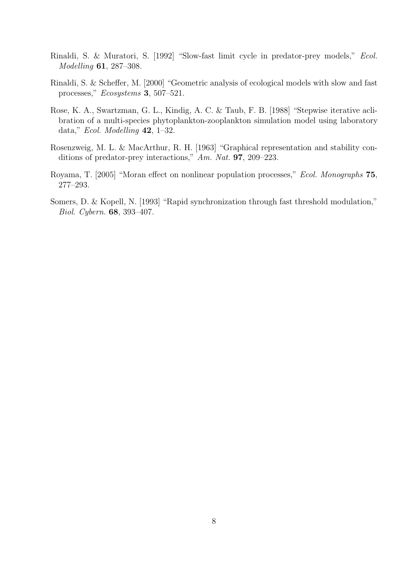- Rinaldi, S. & Muratori, S. [1992] "Slow-fast limit cycle in predator-prey models," Ecol. Modelling 61, 287–308.
- Rinaldi, S. & Scheffer, M. [2000] "Geometric analysis of ecological models with slow and fast processes," Ecosystems 3, 507–521.
- Rose, K. A., Swartzman, G. L., Kindig, A. C. & Taub, F. B. [1988] "Stepwise iterative aclibration of a multi-species phytoplankton-zooplankton simulation model using laboratory data," Ecol. Modelling 42, 1–32.
- Rosenzweig, M. L. & MacArthur, R. H. [1963] "Graphical representation and stability conditions of predator-prey interactions," Am. Nat. **97**, 209–223.
- Royama, T. [2005] "Moran effect on nonlinear population processes," Ecol. Monographs 75, 277–293.
- Somers, D. & Kopell, N. [1993] "Rapid synchronization through fast threshold modulation," Biol. Cybern. 68, 393–407.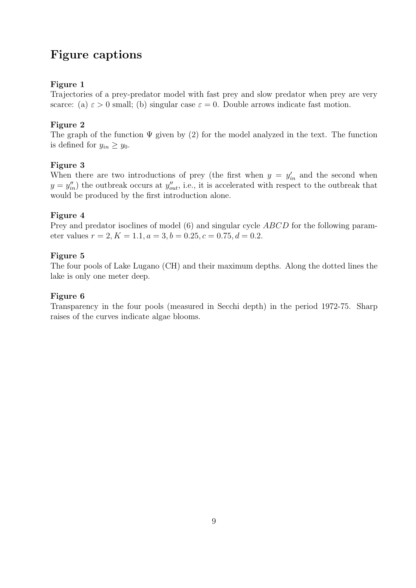## Figure captions

### Figure 1

Trajectories of a prey-predator model with fast prey and slow predator when prey are very scarce: (a)  $\varepsilon > 0$  small; (b) singular case  $\varepsilon = 0$ . Double arrows indicate fast motion.

### Figure 2

The graph of the function  $\Psi$  given by (2) for the model analyzed in the text. The function is defined for  $y_{in} \ge y_0$ .

### Figure 3

When there are two introductions of prey (the first when  $y = y'_{in}$  and the second when  $y = y''_{in}$ ) the outbreak occurs at  $y''_{out}$ , i.e., it is accelerated with respect to the outbreak that would be produced by the first introduction alone.

### Figure 4

Prey and predator isoclines of model (6) and singular cycle *ABCD* for the following parameter values  $r = 2, K = 1.1, a = 3, b = 0.25, c = 0.75, d = 0.2$ .

### Figure 5

The four pools of Lake Lugano (CH) and their maximum depths. Along the dotted lines the lake is only one meter deep.

### Figure 6

Transparency in the four pools (measured in Secchi depth) in the period 1972-75. Sharp raises of the curves indicate algae blooms.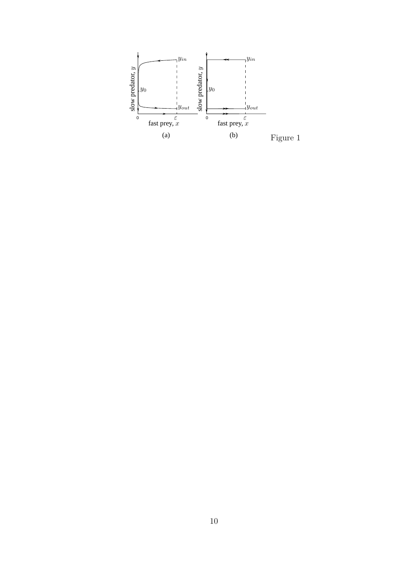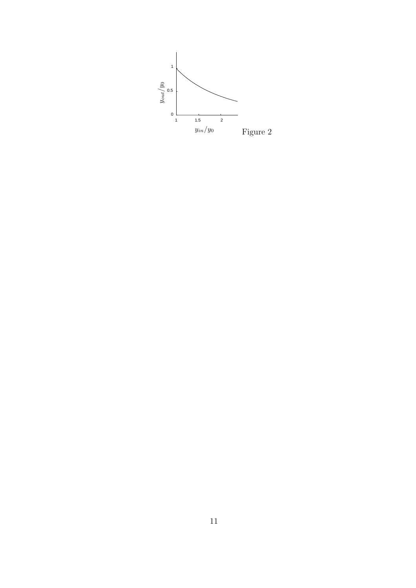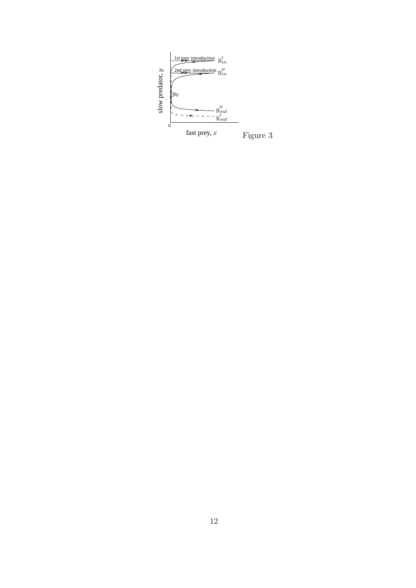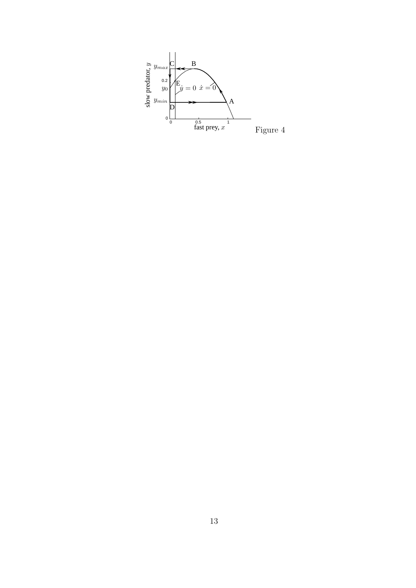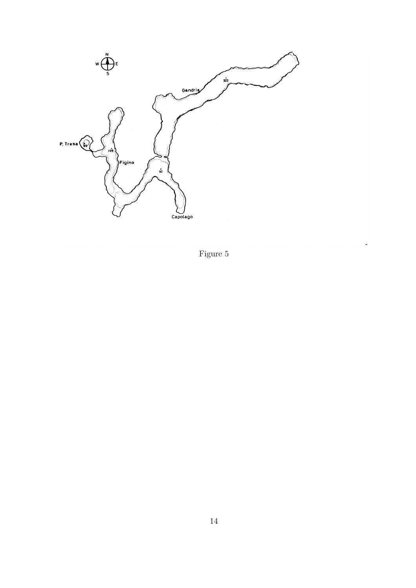

Figure 5

 $\overline{a}$